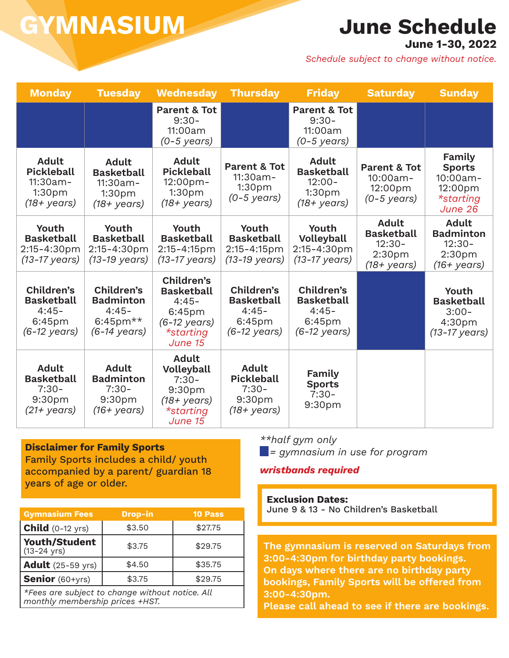### **June Schedule**

**June 1-30, 2022**

*Schedule subject to change without notice.*

| <b>Monday</b>                                                                                   | <b>Tuesday</b>                                                                                  | <b>Wednesday</b>                                                                                                          | <b>Thursday</b>                                                                    | <b>Friday</b>                                                                              | <b>Saturday</b>                                                                    | <b>Sunday</b>                                                                               |
|-------------------------------------------------------------------------------------------------|-------------------------------------------------------------------------------------------------|---------------------------------------------------------------------------------------------------------------------------|------------------------------------------------------------------------------------|--------------------------------------------------------------------------------------------|------------------------------------------------------------------------------------|---------------------------------------------------------------------------------------------|
|                                                                                                 |                                                                                                 | <b>Parent &amp; Tot</b><br>$9:30-$<br>11:00am<br>$(0-5 \text{ years})$                                                    |                                                                                    | <b>Parent &amp; Tot</b><br>$9:30-$<br>11:00am<br>$(0-5 \text{ years})$                     |                                                                                    |                                                                                             |
| <b>Adult</b><br><b>Pickleball</b><br>$11:30am -$<br>1:30 <sub>pm</sub><br>$(18 + \text{years})$ | <b>Adult</b><br><b>Basketball</b><br>$11:30am -$<br>1:30 <sub>pm</sub><br>$(18 + \text{years})$ | <b>Adult</b><br><b>Pickleball</b><br>12:00pm-<br>1:30 <sub>p</sub> m<br>(18+ years)                                       | <b>Parent &amp; Tot</b><br>11:30am-<br>1:30 <sub>pm</sub><br>$(0-5 \text{ years})$ | <b>Adult</b><br><b>Basketball</b><br>$12:00 -$<br>1:30pm<br>$(18 + \text{years})$          | <b>Parent &amp; Tot</b><br>10:00am-<br>12:00pm<br>(0-5 years)                      | Family<br><b>Sports</b><br>10:00am-<br>12:00pm<br>*starting<br>June 26                      |
| Youth<br><b>Basketball</b><br>2:15-4:30pm<br>$(13-17 \text{ years})$                            | Youth<br><b>Basketball</b><br>2:15-4:30pm<br>(13-19 years)                                      | Youth<br><b>Basketball</b><br>2:15-4:15pm<br>$(13-17 \text{ years})$                                                      | Youth<br><b>Basketball</b><br>2:15-4:15pm<br>(13-19 years)                         | Youth<br>Volleyball<br>2:15-4:30pm<br>(13-17 years)                                        | <b>Adult</b><br><b>Basketball</b><br>$12:30-$<br>2:30 <sub>pm</sub><br>(18+ years) | <b>Adult</b><br><b>Badminton</b><br>$12:30-$<br>2:30 <sub>pm</sub><br>$(16 + \text{years})$ |
| Children's<br><b>Basketball</b><br>$4:45-$<br>6:45 <sub>pm</sub><br>$(6-12 \text{ years})$      | Children's<br><b>Badminton</b><br>$4:45-$<br>6:45pm $**$<br>$(6-14 \text{ years})$              | Children's<br><b>Basketball</b><br>$4:45-$<br>6:45 <sub>pm</sub><br>$(6-12 \text{ years})$<br><i>*starting</i><br>June 15 | Children's<br><b>Basketball</b><br>$4:45-$<br>6:45pm<br>$(6-12 \text{ years})$     | Children's<br><b>Basketball</b><br>$4:45-$<br>6:45 <sub>pm</sub><br>$(6-12 \text{ years})$ |                                                                                    | Youth<br><b>Basketball</b><br>$3:00-$<br>4:30pm<br>$(13-17 \text{ years})$                  |
| <b>Adult</b><br><b>Basketball</b><br>$7:30-$<br>9:30pm<br>$(21+)$ years)                        | <b>Adult</b><br><b>Badminton</b><br>$7:30-$<br>9:30pm<br>$(16 + \text{years})$                  | <b>Adult</b><br>Volleyball<br>$7:30-$<br>9:30 <sub>pm</sub><br>$(18 + \text{years})$<br>*starting<br>June 15              | <b>Adult</b><br><b>Pickleball</b><br>$7:30-$<br>9:30pm<br>(18+ years)              | Family<br><b>Sports</b><br>$7:30-$<br>9:30pm                                               |                                                                                    |                                                                                             |

**Disclaimer for Family Sports** Family Sports includes a child/ youth accompanied by a parent/ guardian 18 years of age or older.

| <b>Gymnasium Fees</b>                                                              | <b>Drop-in</b> | <b>10 Pass</b> |  |  |  |
|------------------------------------------------------------------------------------|----------------|----------------|--|--|--|
| <b>Child</b> $(0-12 \text{ yrs})$                                                  | \$3.50         | \$27.75        |  |  |  |
| <b>Youth/Student</b><br>$(13-24 \text{ yrs})$                                      | \$3.75         | \$29.75        |  |  |  |
| <b>Adult</b> (25-59 yrs)                                                           | \$4.50         | \$35.75        |  |  |  |
| <b>Senior</b> (60+yrs)                                                             | \$3.75         | \$29.75        |  |  |  |
| *Fees are subject to change without notice. All<br>monthly membership prices +HST. |                |                |  |  |  |

*\*\*half gym only*

 *= gymnasium in use for program*

#### *wristbands required*

**Exclusion Dates:** June 9 & 13 - No Children's Basketball

**The gymnasium is reserved on Saturdays from 3:00-4:30pm for birthday party bookings. On days where there are no birthday party bookings, Family Sports will be offered from 3:00-4:30pm.** 

**Please call ahead to see if there are bookings.**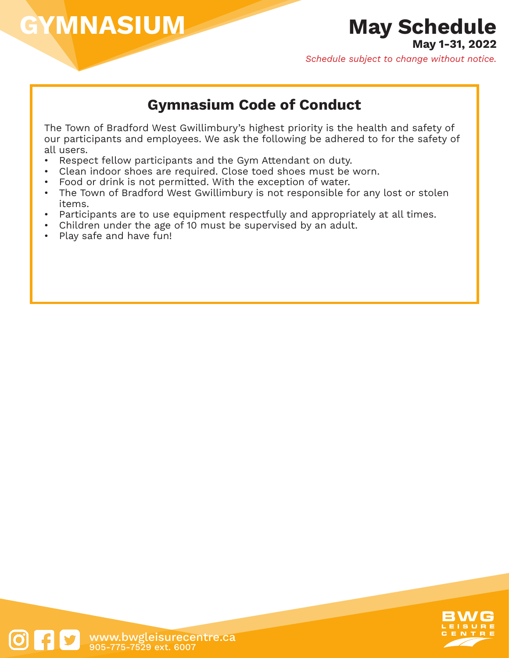### **May Schedule**

**May 1-31, 2022**

*Schedule subject to change without notice.*

### **Gymnasium Code of Conduct**

The Town of Bradford West Gwillimbury's highest priority is the health and safety of our participants and employees. We ask the following be adhered to for the safety of all users.

- Respect fellow participants and the Gym Attendant on duty.
- Clean indoor shoes are required. Close toed shoes must be worn.
- Food or drink is not permitted. With the exception of water.
- The Town of Bradford West Gwillimbury is not responsible for any lost or stolen items.
- Participants are to use equipment respectfully and appropriately at all times.
- Children under the age of 10 must be supervised by an adult.
- Play safe and have fun!

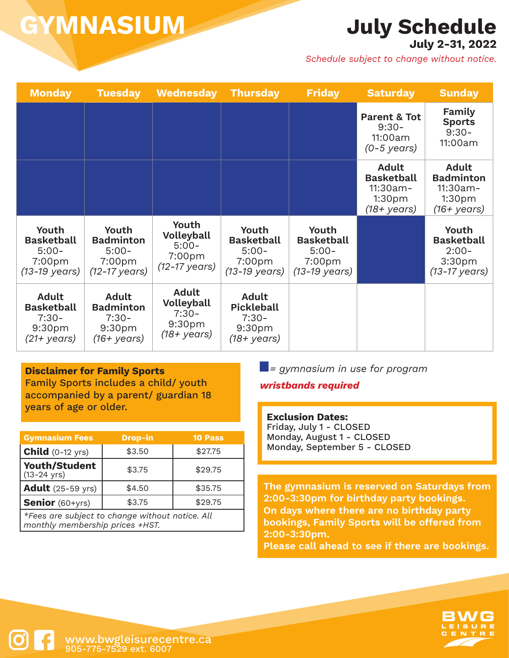## **July Schedule**

**July 2-31, 2022**

*Schedule subject to change without notice.*

| <b>Monday</b>                                                                     | <b>Tuesday</b>                                                                   | <b>Wednesday</b>                                                                  | <b>Thursday</b>                                                                        | <b>Friday</b>                                                                          | <b>Saturday</b>                                                                                 | <b>Sunday</b>                                                                          |
|-----------------------------------------------------------------------------------|----------------------------------------------------------------------------------|-----------------------------------------------------------------------------------|----------------------------------------------------------------------------------------|----------------------------------------------------------------------------------------|-------------------------------------------------------------------------------------------------|----------------------------------------------------------------------------------------|
|                                                                                   |                                                                                  |                                                                                   |                                                                                        |                                                                                        | <b>Parent &amp; Tot</b><br>$9:30-$<br>11:00am<br>$(0-5 \text{ years})$                          | Family<br><b>Sports</b><br>$9:30-$<br>11:00am                                          |
|                                                                                   |                                                                                  |                                                                                   |                                                                                        |                                                                                        | <b>Adult</b><br><b>Basketball</b><br>$11:30am -$<br>1:30 <sub>pm</sub><br>$(18 + \text{years})$ | <b>Adult</b><br><b>Badminton</b><br>11:30am-<br>1:30 <sub>pm</sub><br>(16+ years)      |
| Youth<br><b>Basketball</b><br>$5:00-$<br>7:00pm<br>(13-19 years)                  | Youth<br><b>Badminton</b><br>$5:00-$<br>7:00pm<br>$(12-17 \text{ years})$        | Youth<br><b>Volleyball</b><br>$5:00-$<br>7:00 <sub>pm</sub><br>(12-17 years)      | Youth<br><b>Basketball</b><br>$5:00-$<br>7:00 <sub>pm</sub><br>$(13-19 \text{ years})$ | Youth<br><b>Basketball</b><br>$5:00-$<br>7:00 <sub>pm</sub><br>$(13-19 \text{ years})$ |                                                                                                 | Youth<br><b>Basketball</b><br>$2:00-$<br>3:30 <sub>pm</sub><br>$(13-17 \text{ years})$ |
| <b>Adult</b><br><b>Basketball</b><br>$7:30-$<br>9:30 <sub>pm</sub><br>(21+ years) | <b>Adult</b><br><b>Badminton</b><br>$7:30-$<br>9:30 <sub>pm</sub><br>(16+ years) | <b>Adult</b><br><b>Volleyball</b><br>$7:30-$<br>9:30 <sub>pm</sub><br>(18+ years) | <b>Adult</b><br><b>Pickleball</b><br>$7:30-$<br>9:30pm<br>$(18 + \text{years})$        |                                                                                        |                                                                                                 |                                                                                        |

#### **Disclaimer for Family Sports**

Family Sports includes a child/ youth accompanied by a parent/ guardian 18 years of age or older.

| <b>Gymnasium Fees</b>                           | <b>Drop-in</b> | <b>10 Pass</b> |  |  |
|-------------------------------------------------|----------------|----------------|--|--|
| <b>Child</b> $(0-12 \text{ yrs})$               | \$3.50         | \$27.75        |  |  |
| <b>Youth/Student</b><br>$(13 - 24 \text{ yrs})$ | \$3.75         | \$29.75        |  |  |
| <b>Adult</b> (25-59 yrs)                        | \$4.50         | \$35.75        |  |  |
| <b>Senior</b> (60+yrs)                          | \$3.75         | \$29.75        |  |  |
| *Fees are subject to change without notice. All |                |                |  |  |

*monthly membership prices +HST.*

 *= gymnasium in use for program*

#### *wristbands required*

**Exclusion Dates:** Friday, July 1 - CLOSED Monday, August 1 - CLOSED

Monday, September 5 - CLOSED

**The gymnasium is reserved on Saturdays from 2:00-3:30pm for birthday party bookings. On days where there are no birthday party bookings, Family Sports will be offered from 2:00-3:30pm. Please call ahead to see if there are bookings.**